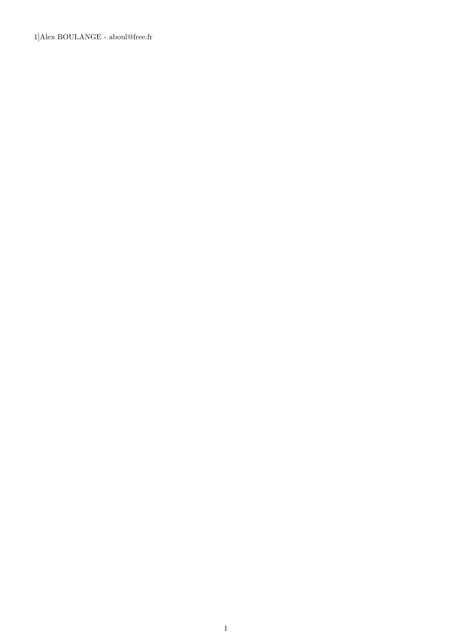1]Alex BOULANGE - aboul@free.fr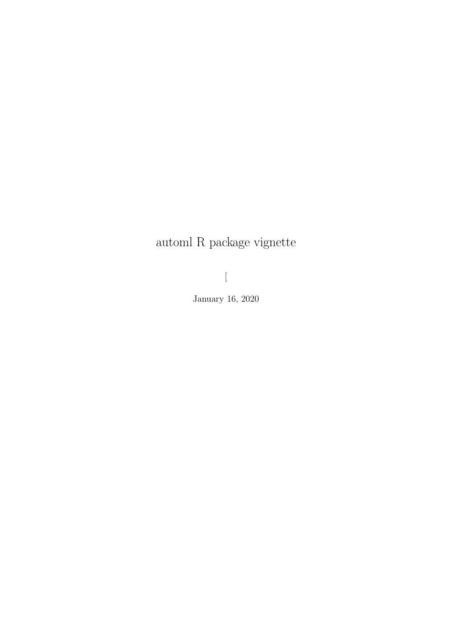## automl R package vignette

 $\begin{bmatrix} 1 & 0 & 0 \\ 0 & 0 & 0 \\ 0 & 0 & 0 \\ 0 & 0 & 0 \\ 0 & 0 & 0 \\ 0 & 0 & 0 \\ 0 & 0 & 0 \\ 0 & 0 & 0 \\ 0 & 0 & 0 & 0 \\ 0 & 0 & 0 & 0 \\ 0 & 0 & 0 & 0 \\ 0 & 0 & 0 & 0 \\ 0 & 0 & 0 & 0 & 0 \\ 0 & 0 & 0 & 0 & 0 \\ 0 & 0 & 0 & 0 & 0 \\ 0 & 0 & 0 & 0 & 0 \\ 0 & 0 & 0 & 0 & 0 \\ 0 & 0 & 0 & 0 & 0 \\ 0 &$ 

January 16, 2020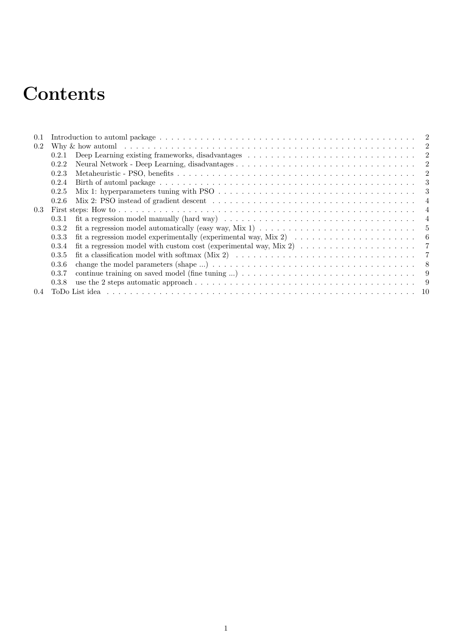# **Contents**

| 0.1           |                                                                                                                                                             | $\mathfrak{D}$ |
|---------------|-------------------------------------------------------------------------------------------------------------------------------------------------------------|----------------|
| $0.2\,$       |                                                                                                                                                             | $\overline{2}$ |
|               | 021                                                                                                                                                         | $\overline{2}$ |
|               | 0.2.2                                                                                                                                                       | $\overline{2}$ |
|               | 0.2.3                                                                                                                                                       | $\mathcal{D}$  |
|               | 0.2.4                                                                                                                                                       | 3              |
|               | 0.2.5<br>Mix 1: hyperparameters tuning with PSO $\ldots$ , $\ldots$ , $\ldots$ , $\ldots$ , $\ldots$ , $\ldots$ , $\ldots$ , $\ldots$ , $\ldots$ , $\ldots$ | 3              |
|               | 0.2.6                                                                                                                                                       | $\overline{4}$ |
| 0.3           |                                                                                                                                                             | 4              |
|               | fit a regression model manually (hard way) $\dots \dots \dots \dots \dots \dots \dots \dots \dots \dots \dots \dots \dots \dots$<br>0.3.1                   | $\overline{4}$ |
|               | fit a regression model automatically (easy way, Mix 1) $\dots \dots \dots \dots \dots \dots \dots \dots \dots \dots \dots$<br>0.3.2                         | -5             |
|               | fit a regression model experimentally (experimental way, Mix 2) $\ldots \ldots \ldots \ldots \ldots \ldots \ldots$<br>0.3.3                                 | -6             |
|               | fit a regression model with custom cost (experimental way, Mix 2) $\ldots \ldots \ldots \ldots \ldots \ldots \ldots$<br>0.3.4                               | -7             |
|               | fit a classification model with softmax (Mix 2) $\ldots \ldots \ldots \ldots \ldots \ldots \ldots \ldots \ldots \ldots \ldots$<br>0.3.5                     | 7              |
|               | 0.3.6                                                                                                                                                       | 8              |
|               | 0.3.7                                                                                                                                                       | -9             |
|               | 0.3.8                                                                                                                                                       | -9             |
| $0.4^{\circ}$ |                                                                                                                                                             | - 10           |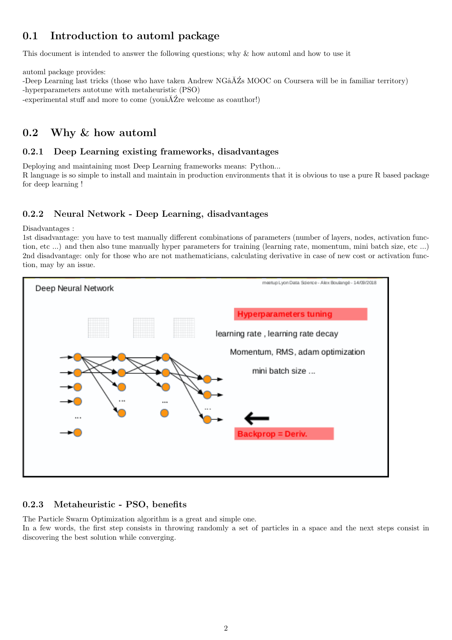## 0.1 Introduction to automl package

This document is intended to answer the following questions; why & how automl and how to use it

automl package provides:

-Deep Learning last tricks (those who have taken Andrew NG $\tilde{A}Z$ s MOOC on Coursera will be in familiar territory) -hyperparameters autotune with metaheuristic (PSO)

-experimental stuff and more to come (you $\hat{A} \tilde{Z}$ re welcome as coauthor!)

## 0.2 Why & how automl

## 0.2.1 Deep Learning existing frameworks, disadvantages

Deploying and maintaining most Deep Learning frameworks means: Python... R language is so simple to install and maintain in production environments that it is obvious to use a pure R based package for deep learning !

## 0.2.2 Neural Network - Deep Learning, disadvantages

#### Disadvantages :

1st disadvantage: you have to test manually different combinations of parameters (number of layers, nodes, activation function, etc ...) and then also tune manually hyper parameters for training (learning rate, momentum, mini batch size, etc ...) 2nd disadvantage: only for those who are not mathematicians, calculating derivative in case of new cost or activation function, may by an issue.



## 0.2.3 Metaheuristic - PSO, benefits

The Particle Swarm Optimization algorithm is a great and simple one. In a few words, the first step consists in throwing randomly a set of particles in a space and the next steps consist in discovering the best solution while converging.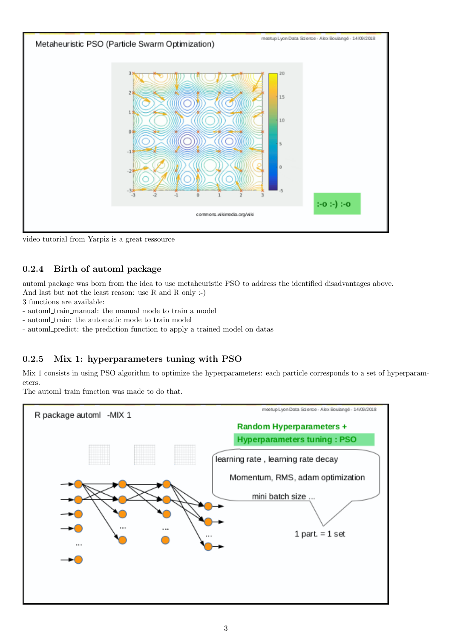

video tutorial from Yarpiz is a great ressource

## 0.2.4 Birth of automl package

automl package was born from the idea to use metaheuristic PSO to address the identified disadvantages above. And last but not the least reason: use R and R only :-)

3 functions are available:

- automl train manual: the manual mode to train a model

- automl\_train: the automatic mode to train model

- automl predict: the prediction function to apply a trained model on datas

## 0.2.5 Mix 1: hyperparameters tuning with PSO

Mix 1 consists in using PSO algorithm to optimize the hyperparameters: each particle corresponds to a set of hyperparameters.

The automl\_train function was made to do that.

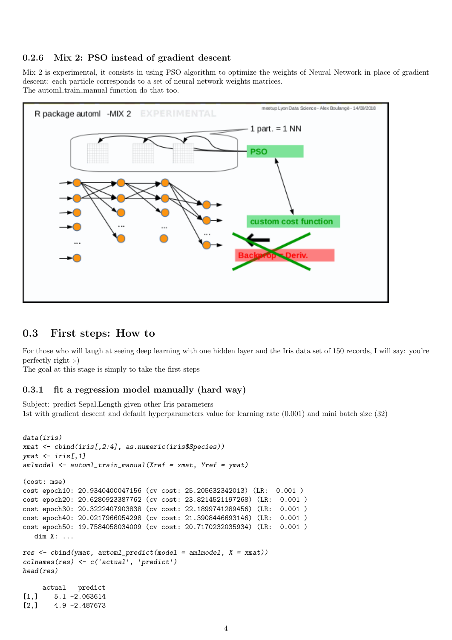#### 0.2.6 Mix 2: PSO instead of gradient descent

Mix 2 is experimental, it consists in using PSO algorithm to optimize the weights of Neural Network in place of gradient descent: each particle corresponds to a set of neural network weights matrices. The automl\_train\_manual function do that too.



## 0.3 First steps: How to

For those who will laugh at seeing deep learning with one hidden layer and the Iris data set of 150 records, I will say: you're perfectly right :-)

The goal at this stage is simply to take the first steps

#### 0.3.1 fit a regression model manually (hard way)

Subject: predict Sepal.Length given other Iris parameters 1st with gradient descent and default hyperparameters value for learning rate (0.001) and mini batch size (32)

```
data(iris)
xmat <- cbind(iris[,2:4], as.numeric(iris$Species))
ymat \leftarrow iris[, 1]amlmodel \leq automl_train_manual(Xref = xmat, Yref = ymat)
(cost: mse)
cost epoch10: 20.9340400047156 (cv cost: 25.205632342013) (LR: 0.001 )
cost epoch20: 20.6280923387762 (cv cost: 23.8214521197268) (LR: 0.001 )
cost epoch30: 20.3222407903838 (cv cost: 22.1899741289456) (LR: 0.001 )
cost epoch40: 20.0217966054298 (cv cost: 21.3908446693146) (LR: 0.001 )
cost epoch50: 19.7584058034009 (cv cost: 20.7170232035934) (LR: 0.001 )
   dim X: ...
res \le cbind(ymat, automl_predict(model = amlmodel, X = xmat))
colnames(res) <- c('actual', 'predict')
head(res)
    actual predict
[1,] 5.1 -2.063614[2,] 4.9 -2.487673
```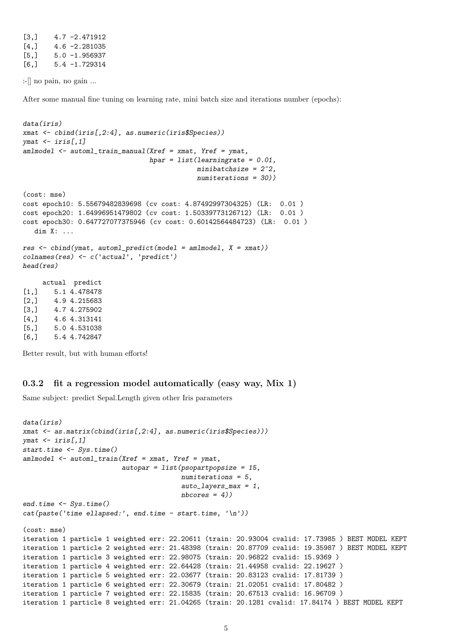$[3,]$  4.7 -2.471912<br> $[4.1$  4.6 -2.281035 [4,] 4.6 -2.281035  $[5.]$   $5.0 -1.956937$ [6,] 5.4 -1.729314

:-[] no pain, no gain ...

After some manual fine tuning on learning rate, mini batch size and iterations number (epochs):

```
data(iris)
xmat <- cbind(iris[,2:4], as.numeric(iris$Species))
ymat \le iris[,1]
amlmodel <- automl_train_manual(Xref = xmat, Yref = ymat,
                               hpar = list(learningrate = 0.01,minibatchsize = 2^2,
                                           numiterations = 30))
(cost: mse)
cost epoch10: 5.55679482839698 (cv cost: 4.87492997304325) (LR: 0.01 )
cost epoch20: 1.64996951479802 (cv cost: 1.50339773126712) (LR: 0.01 )
cost epoch30: 0.647727077375946 (cv cost: 0.60142564484723) (LR: 0.01 )
  dim X: ...
res \le - cbind(ymat, automl_predict(model = amlmodel, X = xmat))
colnames(res) <- c('actual', 'predict')
head(res)
    actual predict
[1,] 5.1 4.478478
[2,] 4.9 4.215683
[3,] 4.7 4.275902
[4,] 4.6 4.313141
[5,] 5.0 4.531038
[6,] 5.4 4.742847
```
Better result, but with human efforts!

## 0.3.2 fit a regression model automatically (easy way, Mix 1)

Same subject: predict Sepal.Length given other Iris parameters

```
data(iris)
xmat <- as.matrix(cbind(iris[,2:4], as.numeric(iris$Species)))
ymat \le iris[,1]
start.time <- Sys.time()
amlmodel <- automl_train(Xref = xmat, Yref = ymat,
                         autopar = list(psopartpopsize = 15,
                                        numiterations = 5,
                                        auto_layers_max = 1,
                                        nbcores = 4)end.time <- Sys.time()
cat(paste('time ellapped:', end.time - start.time, '\n'))(cost: mse)
iteration 1 particle 1 weighted err: 22.20611 (train: 20.93004 cvalid: 17.73985 ) BEST MODEL KEPT
iteration 1 particle 2 weighted err: 21.48398 (train: 20.87709 cvalid: 19.35987 ) BEST MODEL KEPT
iteration 1 particle 3 weighted err: 22.98075 (train: 20.96822 cvalid: 15.9369 )
iteration 1 particle 4 weighted err: 22.64428 (train: 21.44958 cvalid: 22.19627 )
iteration 1 particle 5 weighted err: 22.03677 (train: 20.83123 cvalid: 17.81739 )
iteration 1 particle 6 weighted err: 22.30679 (train: 21.02051 cvalid: 17.80482 )
iteration 1 particle 7 weighted err: 22.15835 (train: 20.67513 cvalid: 16.96709 )
iteration 1 particle 8 weighted err: 21.04265 (train: 20.1281 cvalid: 17.84174 ) BEST MODEL KEPT
```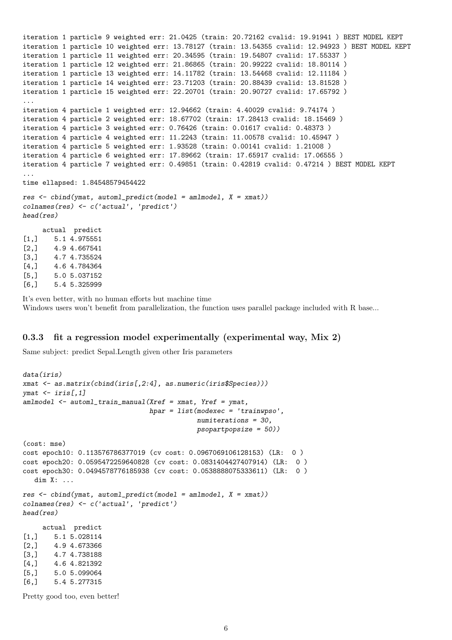```
iteration 1 particle 9 weighted err: 21.0425 (train: 20.72162 cvalid: 19.91941 ) BEST MODEL KEPT
iteration 1 particle 10 weighted err: 13.78127 (train: 13.54355 cvalid: 12.94923 ) BEST MODEL KEPT
iteration 1 particle 11 weighted err: 20.34595 (train: 19.54807 cvalid: 17.55337 )
iteration 1 particle 12 weighted err: 21.86865 (train: 20.99222 cvalid: 18.80114 )
iteration 1 particle 13 weighted err: 14.11782 (train: 13.54468 cvalid: 12.11184 )
iteration 1 particle 14 weighted err: 23.71203 (train: 20.88439 cvalid: 13.81528 )
iteration 1 particle 15 weighted err: 22.20701 (train: 20.90727 cvalid: 17.65792 )
...
iteration 4 particle 1 weighted err: 12.94662 (train: 4.40029 cvalid: 9.74174 )
iteration 4 particle 2 weighted err: 18.67702 (train: 17.28413 cvalid: 18.15469 )
iteration 4 particle 3 weighted err: 0.76426 (train: 0.01617 cvalid: 0.48373 )
iteration 4 particle 4 weighted err: 11.2243 (train: 11.00578 cvalid: 10.45947 )
iteration 4 particle 5 weighted err: 1.93528 (train: 0.00141 cvalid: 1.21008 )
iteration 4 particle 6 weighted err: 17.89662 (train: 17.65917 cvalid: 17.06555 )
iteration 4 particle 7 weighted err: 0.49851 (train: 0.42819 cvalid: 0.47214 ) BEST MODEL KEPT
...
time ellapsed: 1.84548579454422
res \le - cbind(ymat, automl_predict(model = amlmodel, X = xmat))
colnames(res) <- c('actual', 'predict')
head(res)
    actual predict
[1,] 5.1 4.975551
[2,] 4.9 4.667541
[3,] 4.7 4.735524
[4,] 4.6 4.784364
[5,] 5.0 5.037152
[6,] 5.4 5.325999
```
It's even better, with no human efforts but machine time Windows users won't benefit from parallelization, the function uses parallel package included with R base...

#### 0.3.3 fit a regression model experimentally (experimental way, Mix 2)

Same subject: predict Sepal.Length given other Iris parameters

```
data(iris)
xmat <- as.matrix(cbind(iris[,2:4], as.numeric(iris$Species)))
ymat <- iris[,1]
amlmodel <- automl_train_manual(Xref = xmat, Yref = ymat,
                               hpar = list(modesec = 'trainingso',numiterations = 30,
                                           psopartpopsize = 50)(cost: mse)
cost epoch10: 0.113576786377019 (cv cost: 0.0967069106128153) (LR: 0 )
cost epoch20: 0.0595472259640828 (cv cost: 0.0831404427407914) (LR: 0 )
cost epoch30: 0.0494578776185938 (cv cost: 0.0538888075333611) (LR: 0 )
  dim X: ...
res \le - cbind(ymat, automl_predict(model = amlmodel, X = xmat))
colnames(res) <- c('actual', 'predict')
head(res)
    actual predict
[1,] 5.1 5.028114
[2,] 4.9 4.673366
[3,] 4.7 4.738188
[4,] 4.6 4.821392
[5,] 5.0 5.099064
[6,] 5.4 5.277315
```
Pretty good too, even better!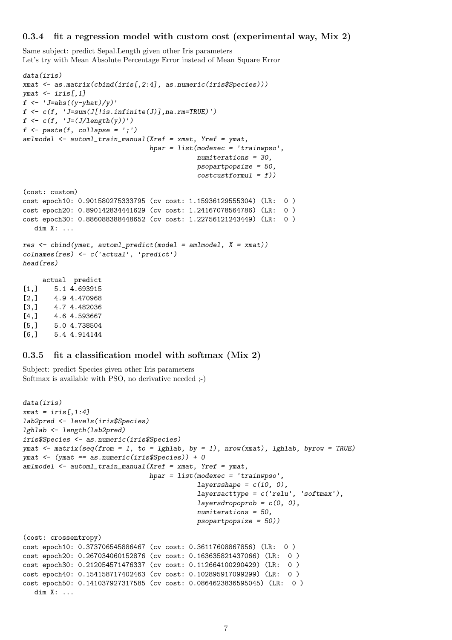#### 0.3.4 fit a regression model with custom cost (experimental way, Mix 2)

Same subject: predict Sepal.Length given other Iris parameters Let's try with Mean Absolute Percentage Error instead of Mean Square Error

```
data(iris)
xmat <- as.matrix(cbind(iris[,2:4], as.numeric(iris$Species)))
ymat <- iris[,1]
f \leftarrow 'J = abs((y - yhat)/y)'f \leftarrow c(f, 'J=sum(J[]is.infinite(J)],na.rm=TRUE)')f \leftarrow c(f, 'J=(J/\text{length}(y))')f \leftarrow paste(f, collapse = ';')
amlmodel <- automl_train_manual(Xref = xmat, Yref = ymat,
                                 hpar = list(modesec = 'trainwpso',numiterations = 30,
                                             psopartpopsize = 50,
                                              costcustformul = f))
(cost: custom)
cost epoch10: 0.901580275333795 (cv cost: 1.15936129555304) (LR: 0 )
cost epoch20: 0.890142834441629 (cv cost: 1.24167078564786) (LR: 0 )
cost epoch30: 0.886088388448652 (cv cost: 1.22756121243449) (LR: 0 )
   dim X: ...
res \le - cbind(ymat, automl_predict(model = amlmodel, X = xmat))
colnames(res) <- c('actual', 'predict')
head(res)
    actual predict
[1,] 5.1 4.693915
[2,] 4.9 4.470968
[3,] 4.7 4.482036
[4,] 4.6 4.593667
[5,] 5.0 4.738504
[6,] 5.4 4.914144
```
## 0.3.5 fit a classification model with softmax (Mix 2)

Subject: predict Species given other Iris parameters Softmax is available with PSO, no derivative needed ;-)

```
data(iris)
x \text{mat} = \text{iris}[1:4]lab2pred <- levels(iris$Species)
lghlab <- length(lab2pred)
iris$Species <- as.numeric(iris$Species)
ymat \leq matrix(seq(from = 1, to = lghlab, by = 1), nrow(xmat), lghlab, byrow = TRUE)
ymat <- (ymat == as.numeric(iris$Species)) + 0
amlmodel <- automl_train_manual(Xref = xmat, Yref = ymat,
                                hpar = list(modesec = 'trainwpso',layersshape = c(10, 0),
                                             layersacttype = c('relu', 'softmax'),layersdropoprob = c(0, 0),
                                             numiterations = 50,
                                            psopartpopsize = 50))
(cost: crossentropy)
cost epoch10: 0.373706545886467 (cv cost: 0.36117608867856) (LR: 0 )
cost epoch20: 0.267034060152876 (cv cost: 0.163635821437066) (LR: 0 )
cost epoch30: 0.212054571476337 (cv cost: 0.112664100290429) (LR: 0 )
cost epoch40: 0.154158717402463 (cv cost: 0.102895917099299) (LR: 0 )
cost epoch50: 0.141037927317585 (cv cost: 0.0864623836595045) (LR: 0 )
  dim X: ...
```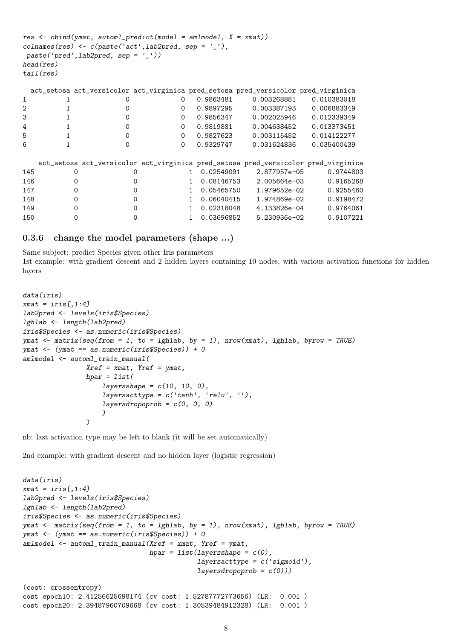```
res \le cbind(ymat, automl_predict(model = amlmodel, X = xmat))
collnames(res) <- c(paste('act',lab2pred, sep = '-''),paste('pred'.lab2pred. sep = ''))
head(res)
tail(res)
 act_setosa act_versicolor act_virginica pred_setosa pred_versicolor pred_virginica
1 1 0 0 0.9863481 0.003268881 0.010383018
2 1 0 0 0.9897295 0.003387193 0.006883349
3 1 0 0 0.9856347 0.002025946 0.012339349
4 1 0 0 0.9819881 0.004638452 0.013373451
5 1 0 0 0.9827623 0.003115452 0.014122277
6 1 0 0 0.9329747 0.031624836 0.035400439
  act_setosa act_versicolor act_virginica pred_setosa pred_versicolor pred_virginica
145 0 0 1 0.02549091 2.877957e-05 0.9744803
146 0 0 1 0.08146753 2.005664e-03 0.9165268
147 0 0 1 0.05465750 1.979652e-02 0.9255460
148 0 0 0 1 0.06040415 1.974869e-02 0.9198472<br>149 0 0 0 1 0.02318048 4.133826e-04 0.9764061<br>150 0 0 1 0.03696852 5.230936e-02 0.9107221
149 0 0 0 1 0.02318048 4.133826e-04
150 0 0 0 1 0.03696852 5.230936e-02
```
#### 0.3.6 change the model parameters (shape ...)

Same subject: predict Species given other Iris parameters 1st example: with gradient descent and 2 hidden layers containing 10 nodes, with various activation functions for hidden layers

```
data(iris)
x \text{mat} = \text{iris}[, 1:4]lab2pred <- levels(iris$Species)
lghlab <- length(lab2pred)
iris$Species <- as.numeric(iris$Species)
ymat \leq matrix(seq(from = 1, to = lghlab, by = 1), nrow(xmat), lghlab, byrow = TRUE)
ymat <- (ymat == as.numeric(iris$Species)) + 0
amlmodel <- automl_train_manual(
                Xref = xmat, Yref = ymat,hpar = list(layersshape = c(10, 10, 0),
                    layersacttype = c('tanh', 'relu', ''),layersdropoprob = c(0, 0, 0))
                )
```
nb: last activation type may be left to blank (it will be set automatically)

2nd example: with gradient descent and no hidden layer (logistic regression)

```
data(iris)
xmat = iris[,1:4]
lab2pred <- levels(iris$Species)
lghlab <- length(lab2pred)
iris$Species <- as.numeric(iris$Species)
ymat \leq matrix(seq(from = 1, to = lghlab, by = 1), nrow(xmat), lghlab, byrow = TRUE)
ymat <- (ymat == as.numeric(iris$Species)) + 0
amlmodel <- automl_train_manual(Xref = xmat, Yref = ymat,
                                hpar = list(layersshape = c(0),layers^\prime = c('sigmoid'),layersdropoprob = c(0)))(cost: crossentropy)
cost epoch10: 2.41256625698174 (cv cost: 1.52787772773656) (LR: 0.001 )
cost epoch20: 2.39487960709668 (cv cost: 1.30539484912328) (LR: 0.001 )
```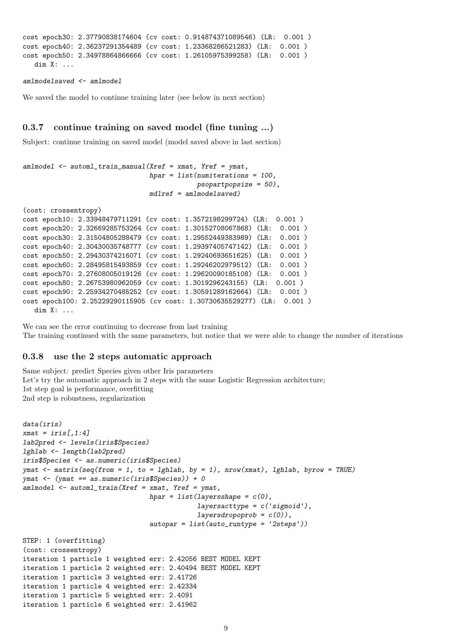```
cost epoch30: 2.37790838174604 (cv cost: 0.914874371089546) (LR: 0.001 )
cost epoch40: 2.36237291354489 (cv cost: 1.23368286521283) (LR: 0.001 )
cost epoch50: 2.34978864866666 (cv cost: 1.26105975399258) (LR: 0.001 )
  dim X: ...
```
amlmodelsaved <- amlmodel

We saved the model to continue training later (see below in next section)

#### 0.3.7 continue training on saved model (fine tuning ...)

Subject: continue training on saved model (model saved above in last section)

```
amlmodel <- automl_train_manual(Xref = xmat, Yref = ymat,
                               hpar = list(numiterations = 100,psopartpopsize = 50),
                               mdlref = amlmodelsaved)
(cost: crossentropy)
cost epoch10: 2.33948479711291 (cv cost: 1.3572198299724) (LR: 0.001 )
cost epoch20: 2.32669285753264 (cv cost: 1.30152708067868) (LR: 0.001 )
cost epoch30: 2.31504805288479 (cv cost: 1.29552449383989) (LR: 0.001 )
cost epoch40: 2.30430035748777 (cv cost: 1.29397405747142) (LR: 0.001 )
cost epoch50: 2.29430374216071 (cv cost: 1.29240693651625) (LR: 0.001 )
cost epoch60: 2.28495815493859 (cv cost: 1.29246202979512) (LR: 0.001 )
cost epoch70: 2.27608005019126 (cv cost: 1.29620090185108) (LR: 0.001 )
cost epoch80: 2.26753980962059 (cv cost: 1.3019296243155) (LR: 0.001 )
cost epoch90: 2.25934270485252 (cv cost: 1.30591289162664) (LR: 0.001 )
cost epoch100: 2.25229290115905 (cv cost: 1.30730635529277) (LR: 0.001 )
  dim X: ...
```
We can see the error continuing to decrease from last training The training continued with the same parameters, but notice that we were able to change the number of iterations

#### 0.3.8 use the 2 steps automatic approach

Same subject: predict Species given other Iris parameters Let's try the automatic approach in 2 steps with the same Logistic Regression architecture; 1st step goal is performance, overfitting 2nd step is robustness, regularization

```
data(iris)
x \text{mat} = \text{iris} \lceil .1:4 \rceillab2pred <- levels(iris$Species)
lghlab <- length(lab2pred)
iris$Species <- as.numeric(iris$Species)
ymat \leq matrix(seq(from = 1, to = lghlab, by = 1), nrow(xmat), lghlab, byrow = TRUE)
ymat <- (ymat == as.numeric(iris$Species)) + 0
amlmodel \leq automl_train(Xref = xmat, Yref = ymat,
                                 hpar = list(layersshape = c(0),
                                              layersacttype = c('sigmoid'),
                                              layers dropoprob = c(0),
                                 autopar = list(auto_runtype = '2steps'))
STEP: 1 (overfitting)
(cost: crossentropy)
iteration 1 particle 1 weighted err: 2.42056 BEST MODEL KEPT
iteration 1 particle 2 weighted err: 2.40494 BEST MODEL KEPT
iteration 1 particle 3 weighted err: 2.41726
iteration 1 particle 4 weighted err: 2.42334
iteration 1 particle 5 weighted err: 2.4091
iteration 1 particle 6 weighted err: 2.41962
```